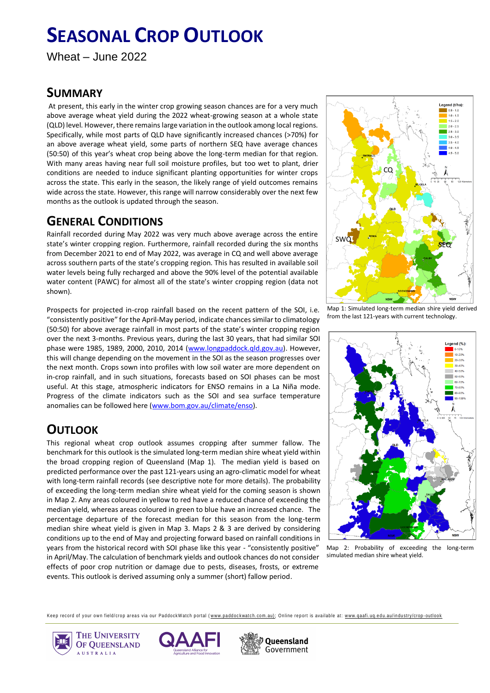# **SEASONAL CROP OUTLOOK**

Wheat – June 2022

### **SUMMARY**

 At present, this early in the winter crop growing season chances are for a very much above average wheat yield during the 2022 wheat-growing season at a whole state (QLD) level. However, there remains large variation in the outlook among local regions. Specifically, while most parts of QLD have significantly increased chances (>70%) for an above average wheat yield, some parts of northern SEQ have average chances (50:50) of this year's wheat crop being above the long-term median for that region. With many areas having near full soil moisture profiles, but too wet to plant, drier conditions are needed to induce significant planting opportunities for winter crops across the state. This early in the season, the likely range of yield outcomes remains wide across the state. However, this range will narrow considerably over the next few months as the outlook is updated through the season.

#### **GENERAL CONDITIONS**

Rainfall recorded during May 2022 was very much above average across the entire state's winter cropping region. Furthermore, rainfall recorded during the six months from December 2021 to end of May 2022, was average in CQ and well above average across southern parts of the state's cropping region. This has resulted in available soil water levels being fully recharged and above the 90% level of the potential available water content (PAWC) for almost all of the state's winter cropping region (data not shown).

Prospects for projected in-crop rainfall based on the recent pattern of the SOI, i.e. "consistently positive" for the April-May period, indicate chances similar to climatology (50:50) for above average rainfall in most parts of the state's winter cropping region over the next 3-months. Previous years, during the last 30 years, that had similar SOI phase were 1985, 1989, 2000, 2010, 2014 [\(www.longpaddock.qld.gov.au\)](http://www.longpaddock.qld.gov.au/). However, this will change depending on the movement in the SOI as the season progresses over the next month. Crops sown into profiles with low soil water are more dependent on in-crop rainfall, and in such situations, forecasts based on SOI phases can be most useful. At this stage, atmospheric indicators for ENSO remains in a La Niña mode. Progress of the climate indicators such as the SOI and sea surface temperature anomalies can be followed here [\(www.bom.gov.au/climate/enso\)](http://www.bom.gov.au/climate/enso).

## **OUTLOOK**

This regional wheat crop outlook assumes cropping after summer fallow. The benchmark for this outlook is the simulated long-term median shire wheat yield within the broad cropping region of Queensland (Map 1). The median yield is based on predicted performance over the past 121-years using an agro-climatic model for wheat with long-term rainfall records (see descriptive note for more details). The probability of exceeding the long-term median shire wheat yield for the coming season is shown in Map 2. Any areas coloured in yellow to red have a reduced chance of exceeding the median yield, whereas areas coloured in green to blue have an increased chance. The percentage departure of the forecast median for this season from the long-term median shire wheat yield is given in Map 3. Maps 2 & 3 are derived by considering conditions up to the end of May and projecting forward based on rainfall conditions in years from the historical record with SOI phase like this year - "consistently positive" in April/May. The calculation of benchmark yields and outlook chances do not consider effects of poor crop nutrition or damage due to pests, diseases, frosts, or extreme events. This outlook is derived assuming only a summer (short) fallow period.



Map 1: Simulated long-term median shire yield derived from the last 121-years with current technology.



Map 2: Probability of exceeding the long-term simulated median shire wheat yield.

Keep record of your own field/crop areas via our PaddockWatch portal (www.paddockwatch.com.au); Online report is available at: www.qaafi.uq.edu.au/industry/crop-outlook